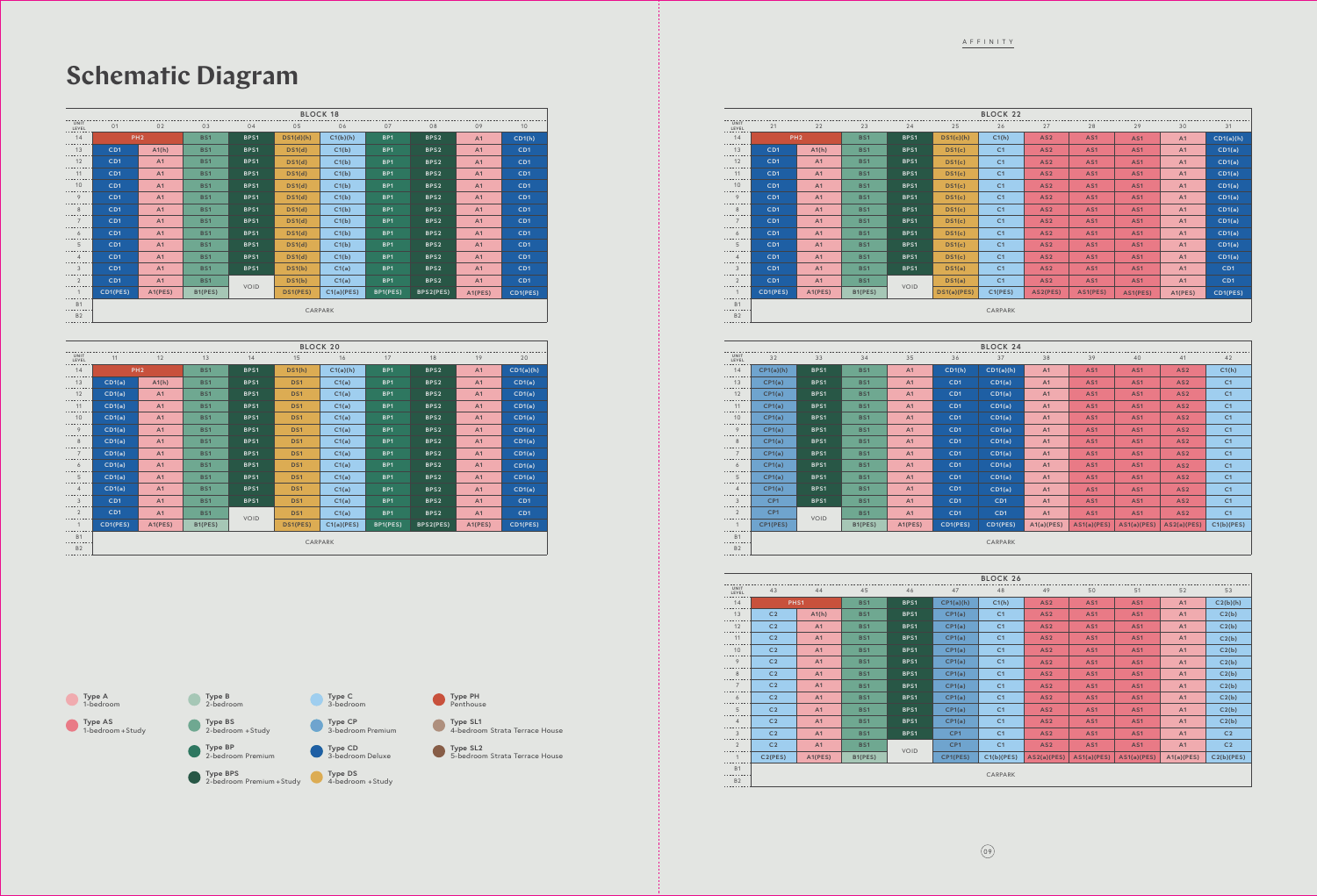|                        |                  |                |            |             |             | <b>BLOCK 22</b> |                 |                 |                 |         |                 |
|------------------------|------------------|----------------|------------|-------------|-------------|-----------------|-----------------|-----------------|-----------------|---------|-----------------|
| UNIT<br>LEVEL          | 21               | 22             | 23         | 24          | 25          | 26              | 27              | 28              | 29              | 30      | 31              |
| 14                     | PH <sub>2</sub>  |                | <b>BS1</b> | BPS1        | DS1(c)(h)   | C1(h)           | AS <sub>2</sub> | AS1             | AS <sub>1</sub> | A1      | CD1(a)(h)       |
| 13                     | CD1              | A1(h)          | <b>BS1</b> | BPS1        | DS1(c)      | C <sub>1</sub>  | AS <sub>2</sub> | AS <sub>1</sub> | AS <sub>1</sub> | A1      | CD1(a)          |
| 12<br>--------         | CD1              | A1             | BS1        | BPS1        | DS1(c)      | C <sub>1</sub>  | AS <sub>2</sub> | AS <sub>1</sub> | AS <sub>1</sub> | A1      | CD1(a)          |
| 11<br>.                | CD1              | A1             | <b>BS1</b> | BPS1        | DS1(c)      | C <sub>1</sub>  | AS <sub>2</sub> | AS1             | AS <sub>1</sub> | A1      | CD1(a)          |
| 10<br>. <i>.</i> .     | CD1              | A <sub>1</sub> | <b>BS1</b> | BPS1        | DS1(c)      | C <sub>1</sub>  | AS <sub>2</sub> | AS1             | AS1             | A1      | CD1(a)          |
| 9<br>.                 | CD1              | A <sub>1</sub> | <b>BS1</b> | BPS1        | DS1(c)      | C <sub>1</sub>  | AS <sub>2</sub> | AS1             | AS1             | A1      | CD1(a)          |
| 8<br>. <u>.</u>        | CD1              | A1             | <b>BS1</b> | BPS1        | DS1(c)      | C <sub>1</sub>  | AS <sub>2</sub> | AS <sub>1</sub> | AS <sub>1</sub> | A1      | CD1(a)          |
| $\overline{7}$         | CD1              | A1             | <b>BS1</b> | BPS1        | DS1(c)      | C <sub>1</sub>  | AS <sub>2</sub> | AS <sub>1</sub> | AS <sub>1</sub> | A1      | CD1(a)          |
| 6                      | C <sub>D</sub> 1 | A <sub>1</sub> | <b>BS1</b> | BPS1        | DS1(c)      | C <sub>1</sub>  | AS <sub>2</sub> | AS <sub>1</sub> | AS <sub>1</sub> | A1      | CD1(a)          |
| 5<br>.                 | CD1              | A <sub>1</sub> | <b>BS1</b> | BPS1        | DS1(c)      | C <sub>1</sub>  | AS <sub>2</sub> | AS <sub>1</sub> | AS <sub>1</sub> | A1      | CD1(a)          |
| $\overline{4}$         | CD1              | A <sub>1</sub> | <b>BS1</b> | BPS1        | DS1(c)      | C <sub>1</sub>  | AS <sub>2</sub> | AS <sub>1</sub> | AS <sub>1</sub> | A1      | CD1(a)          |
| 3<br>.                 | CD1              | A1             | <b>BS1</b> | BPS1        | DS1(a)      | C <sub>1</sub>  | AS <sub>2</sub> | AS <sub>1</sub> | AS <sub>1</sub> | A1      | CD <sub>1</sub> |
| 2                      | CD1              | A1             | <b>BS1</b> | <b>VOID</b> | DS1(a)      | C <sub>1</sub>  | AS <sub>2</sub> | AS <sub>1</sub> | AS <sub>1</sub> | A1      | CD <sub>1</sub> |
| $\mathbf{1}$<br>.      | CD1(PES)         | A1(PES)        | B1(PES)    |             | DS1(a)(PES) | C1(PES)         | AS2(PES)        | AS1(PES)        | AS1(PES)        | A1(PES) | CD1(PES)        |
| <b>B1</b><br><b>B2</b> |                  |                |            |             |             | CARPARK         |                 |                 |                 |         |                 |
|                        |                  |                |            |             |             |                 |                 |                 |                 |         |                 |

|                              |                |                                                                                                                              |            |             |                 | <b>BLOCK 26</b> |                 |                 |                 |            |                |  |  |  |
|------------------------------|----------------|------------------------------------------------------------------------------------------------------------------------------|------------|-------------|-----------------|-----------------|-----------------|-----------------|-----------------|------------|----------------|--|--|--|
| UNIT<br>LEVEL                | 43             | 44                                                                                                                           | 45         | 46          | 47              | 48              | 49              | 50              | 51              | 52         | 53             |  |  |  |
| 14<br>$- - - - - -$          | PHS1           |                                                                                                                              | <b>BS1</b> | BPS1        | CP1(a)(h)       | C1(h)           | AS <sub>2</sub> | AS1             | AS <sub>1</sub> | A1         | C2(b)(h)       |  |  |  |
| 13<br>.                      | C <sub>2</sub> | A1(h)                                                                                                                        | <b>BS1</b> | BPS1        | CP1(a)          | C <sub>1</sub>  | AS <sub>2</sub> | AS <sub>1</sub> | AS <sub>1</sub> | A1         | C2(b)          |  |  |  |
| 12                           | C <sub>2</sub> | A1                                                                                                                           | <b>BS1</b> | BPS1        | CP1(a)          | C <sub>1</sub>  | AS <sub>2</sub> | AS <sub>1</sub> | AS <sub>1</sub> | A1         | C2(b)          |  |  |  |
| 11                           | C <sub>2</sub> | A1                                                                                                                           | <b>BS1</b> | BPS1        | CP1(a)          | C <sub>1</sub>  | AS <sub>2</sub> | AS <sub>1</sub> | AS <sub>1</sub> | A1         | C2(b)          |  |  |  |
| 10                           | C <sub>2</sub> | A1                                                                                                                           | <b>BS1</b> | BPS1        | CP1(a)          | C <sub>1</sub>  | AS <sub>2</sub> | AS <sub>1</sub> | AS <sub>1</sub> | A1         | C2(b)          |  |  |  |
| 9                            | C <sub>2</sub> | A <sub>1</sub>                                                                                                               | <b>BS1</b> | BPS1        | CP1(a)          | C <sub>1</sub>  | AS <sub>2</sub> | AS <sub>1</sub> | AS <sub>1</sub> | A1         | C2(b)          |  |  |  |
| 8<br>--------                | C <sub>2</sub> | A1                                                                                                                           | <b>BS1</b> | BPS1        | CP1(a)          | C <sub>1</sub>  | AS <sub>2</sub> | AS <sub>1</sub> | AS <sub>1</sub> | A1         | C2(b)          |  |  |  |
| $\overline{7}$<br>.          | C <sub>2</sub> | C <sub>1</sub><br>A1<br>BPS1<br>CP1(a)<br>AS <sub>2</sub><br><b>BS1</b><br>AS <sub>1</sub><br>AS <sub>1</sub><br>A1<br>C2(b) |            |             |                 |                 |                 |                 |                 |            |                |  |  |  |
| 6<br>------                  | C <sub>2</sub> | A1                                                                                                                           | <b>BS1</b> | BPS1        | CP1(a)          | C <sub>1</sub>  | AS <sub>2</sub> | AS1             | AS1             | A1         | C2(b)          |  |  |  |
| 5                            | C <sub>2</sub> | A1                                                                                                                           | <b>BS1</b> | BPS1        | CP1(a)          | C <sub>1</sub>  | AS <sub>2</sub> | AS <sub>1</sub> | AS <sub>1</sub> | A1         | C2(b)          |  |  |  |
| $\overline{4}$               | C <sub>2</sub> | A1                                                                                                                           | <b>BS1</b> | BPS1        | CP1(a)          | C <sub>1</sub>  | AS <sub>2</sub> | AS <sub>1</sub> | AS <sub>1</sub> | A1         | C2(b)          |  |  |  |
| 3<br>.                       | C <sub>2</sub> | A1                                                                                                                           | <b>BS1</b> | BPS1        | CP <sub>1</sub> | C <sub>1</sub>  | AS <sub>2</sub> | AS <sub>1</sub> | AS <sub>1</sub> | A1         | C <sub>2</sub> |  |  |  |
| 2<br>-------                 | C <sub>2</sub> | A1                                                                                                                           | <b>BS1</b> | <b>VOID</b> | CP <sub>1</sub> | C <sub>1</sub>  | AS <sub>2</sub> | AS1             | AS1             | A1         | C <sub>2</sub> |  |  |  |
| $\mathbf{1}$<br>. <u>.</u> . | C2(PES)        | A1(PES)                                                                                                                      | B1(PES)    |             | CP1(PES)        | C1(b)(PES)      | AS2(a)(PES)     | AS1(a)(PES)     | AS1(a)(PES)     | A1(a)(PES) | C2(b)(PES)     |  |  |  |
| <b>B1</b><br>.               |                |                                                                                                                              |            |             |                 | CARPARK         |                 |                 |                 |            |                |  |  |  |
| <b>B2</b>                    |                |                                                                                                                              |            |             |                 |                 |                 |                 |                 |            |                |  |  |  |

| <b>B1</b><br>. <u>.</u><br><b>B2</b> | CARPARK         |             |            |         |          |                 |                |                 |                 |                 |                |  |  |  |
|--------------------------------------|-----------------|-------------|------------|---------|----------|-----------------|----------------|-----------------|-----------------|-----------------|----------------|--|--|--|
|                                      |                 |             |            |         |          |                 |                |                 |                 |                 |                |  |  |  |
|                                      |                 |             |            |         |          | <b>BLOCK 24</b> |                |                 |                 |                 |                |  |  |  |
| UNIT<br>LEVEL                        | 32              | 33          | 34         | 35      | 36       | 37              | 38             | 39              | 40              | 41              | 42             |  |  |  |
| 14<br>.                              | CP1(a)(h)       | BPS1        | <b>BS1</b> | A1      | CD1(h)   | CD1(a)(h)       | A1             | AS <sub>1</sub> | AS1             | AS <sub>2</sub> | C1(h)          |  |  |  |
| 13<br>.                              | CP1(a)          | BPS1        | <b>BS1</b> | A1      | CD1      | CD1(a)          | A1             | AS <sub>1</sub> | AS <sub>1</sub> | AS <sub>2</sub> | C <sub>1</sub> |  |  |  |
| 12<br>.                              | CP1(a)          | BPS1        | <b>BS1</b> | A1      | CD1      | CD1(a)          | A1             | AS <sub>1</sub> | AS <sub>1</sub> | AS <sub>2</sub> | C <sub>1</sub> |  |  |  |
| 11<br>. <u>.</u> .                   | CP1(a)          | BPS1        | <b>BS1</b> | A1      | CD1      | CD1(a)          | A1             | AS <sub>1</sub> | AS <sub>1</sub> | AS <sub>2</sub> | C <sub>1</sub> |  |  |  |
| 10 <sup>1</sup><br>.                 | CP1(a)          | BPS1        | <b>BS1</b> | A1      | CD1      | CD1(a)          | A1             | AS <sub>1</sub> | AS <sub>1</sub> | AS <sub>2</sub> | C <sub>1</sub> |  |  |  |
| 9<br>.                               | CP1(a)          | BPS1        | <b>BS1</b> | A1      | CD1      | CD1(a)          | A1             | AS1             | AS <sub>1</sub> | AS <sub>2</sub> | C <sub>1</sub> |  |  |  |
| 8<br>.                               | CP1(a)          | BPS1        | <b>BS1</b> | A1      | CD1      | CD1(a)          | A1             | AS <sub>1</sub> | AS <sub>1</sub> | AS <sub>2</sub> | C <sub>1</sub> |  |  |  |
| $\overline{7}$<br>--------           | CP1(a)          | BPS1        | <b>BS1</b> | A1      | CD1      | CD1(a)          | A1             | AS <sub>1</sub> | AS <sub>1</sub> | AS <sub>2</sub> | C <sub>1</sub> |  |  |  |
| 6<br>.                               | CP1(a)          | BPS1        | <b>BS1</b> | A1      | CD1      | CD1(a)          | A1             | AS <sub>1</sub> | AS <sub>1</sub> | AS <sub>2</sub> | C <sub>1</sub> |  |  |  |
| 5<br>.                               | CP1(a)          | BPS1        | <b>BS1</b> | A1      | CD1      | CD1(a)          | A1             | AS <sub>1</sub> | AS <sub>1</sub> | AS <sub>2</sub> | C <sub>1</sub> |  |  |  |
| $\overline{4}$                       | CP1(a)          | BPS1        | <b>BS1</b> | A1      | CD1      | CD1(a)          | A <sub>1</sub> | AS1             | AS1             | AS <sub>2</sub> | C <sub>1</sub> |  |  |  |
| $\mathbf{3}$<br>.                    | CP <sub>1</sub> | BPS1        | <b>BS1</b> | A1      | CD1      | CD <sub>1</sub> | A1             | AS <sub>1</sub> | AS <sub>1</sub> | AS <sub>2</sub> | C <sub>1</sub> |  |  |  |
| 2<br>.                               | CP <sub>1</sub> |             | <b>BS1</b> | A1      | CD1      | CD <sub>1</sub> | A1             | AS1             | AS1             | AS <sub>2</sub> | C <sub>1</sub> |  |  |  |
| $\mathbf{1}$<br>.                    | CP1(PES)        | <b>VOID</b> | B1(PES)    | A1(PES) | CD1(PES) | CD1(PES)        | A1(a)(PES)     | AS1(a)(PES)     | AS1(a)(PES)     | AS2(a)(PES)     | C1(b)(PES)     |  |  |  |
| <b>B1</b><br>.                       |                 |             |            |         |          |                 |                |                 |                 |                 |                |  |  |  |
| <b>B2</b>                            | CARPARK         |             |            |         |          |                 |                |                 |                 |                 |                |  |  |  |

|                 |                 |                 |            |             |                 | <b>BLOCK 20</b> |                 |                  |                |           |
|-----------------|-----------------|-----------------|------------|-------------|-----------------|-----------------|-----------------|------------------|----------------|-----------|
| UNIT<br>LEVEL   | 11              | 12              | 13         | 14          | 15              | 16              | 17              | 18               | 19             | 20        |
| 14              |                 | PH <sub>2</sub> | <b>BS1</b> | BPS1        | DS1(h)          | C1(a)(h)        | BP <sub>1</sub> | BPS <sub>2</sub> | A <sub>1</sub> | CD1(a)(h) |
| 13              | CD1(a)          | A1(h)           | <b>BS1</b> | BPS1        | DS <sub>1</sub> | C1(a)           | BP1             | BPS <sub>2</sub> | A <sub>1</sub> | CD1(a)    |
| 12              | CD1(a)          | A1              | <b>BS1</b> | BPS1        | DS1             | C1(a)           | BP1             | BPS2             | A <sub>1</sub> | CD1(a)    |
| 11              | CD1(a)          | A1              | <b>BS1</b> | BPS1        | DS <sub>1</sub> | C1(a)           | BP1             | BPS <sub>2</sub> | A <sub>1</sub> | CD1(a)    |
| 10              | CD1(a)          | A1              | <b>BS1</b> | BPS1        | DS1             | C1(a)           | BP1             | BPS <sub>2</sub> | A <sub>1</sub> | CD1(a)    |
| 9               | CD1(a)          | A1              | <b>BS1</b> | BPS1        | DS1             | C1(a)           | BP1             | BPS <sub>2</sub> | A <sub>1</sub> | CD1(a)    |
| 8               | CD1(a)          | A1              | <b>BS1</b> | BPS1        | DS1             | C1(a)           | BP1             | BPS <sub>2</sub> | A <sub>1</sub> | CD1(a)    |
| $7\overline{ }$ | CD1(a)          | A1              | <b>BS1</b> | BPS1        | DS <sub>1</sub> | C1(a)           | BP1             | BPS <sub>2</sub> | A <sub>1</sub> | CD1(a)    |
| 6               | CD1(a)          | A1              | <b>BS1</b> | BPS1        | DS1             | C1(a)           | BP <sub>1</sub> | BPS <sub>2</sub> | A1             | CD1(a)    |
| 5               | CD1(a)          | A1              | <b>BS1</b> | BPS1        | DS1             | C1(a)           | BP1             | BPS <sub>2</sub> | A <sub>1</sub> | CD1(a)    |
| $\overline{4}$  | CD1(a)          | A1              | <b>BS1</b> | BPS1        | DS <sub>1</sub> | C1(a)           | BP <sub>1</sub> | BPS <sub>2</sub> | A <sub>1</sub> | CD1(a)    |
| 3               | CD1             | A1              | <b>BS1</b> | BPS1        | DS1             | C1(a)           | BP <sub>1</sub> | BPS <sub>2</sub> | A <sub>1</sub> | CD1       |
| $\overline{2}$  | CD <sub>1</sub> | A1              | <b>BS1</b> |             | DS <sub>1</sub> | C1(a)           | BP1             | BPS <sub>2</sub> | A <sub>1</sub> | CD1       |
| 1               | CD1(PES)        | A1(PES)         | B1(PES)    | <b>VOID</b> | DS1(PES)        | C1(a)(PES)      | BP1(PES)        | BPS2(PES)        | A1(PES)        | CD1(PES)  |
| <b>B1</b>       |                 |                 |            |             |                 |                 |                 |                  |                |           |
| <b>B2</b>       |                 |                 |            |             |                 | <b>CARPARK</b>  |                 |                  |                |           |

## **Schematic Diagram**

|                               |                 |                 |            |             |                 | <b>BLOCK 18</b> |                 |                  |                |          |
|-------------------------------|-----------------|-----------------|------------|-------------|-----------------|-----------------|-----------------|------------------|----------------|----------|
| <b>UNIT</b><br>$\tt\tt LEVEL$ | 01              | 02              | 03         | 04          | 05              | 06              | 07              | 08               | 09             | 10       |
| 14                            |                 | PH <sub>2</sub> | <b>BS1</b> | BPS1        | DS1(d)(h)       | C1(b)(h)        | BP <sub>1</sub> | BPS <sub>2</sub> | A1             | CD1(h)   |
| 13                            | CD1             | A1(h)           | <b>BS1</b> | BPS1        | DS1(d)          | C1(b)           | BP1             | BPS <sub>2</sub> | A1             | CD1      |
| 12                            | CD <sub>1</sub> | A1              | <b>BS1</b> | BPS1        | DS1(d)          | C1(b)           | BP1             | BPS <sub>2</sub> | A <sub>1</sub> | CD1      |
| 11                            | CD1             | A1              | <b>BS1</b> | BPS1        | DS1(d)          | C1(b)           | BP1             | BPS <sub>2</sub> | A <sub>1</sub> | CD1      |
| 10                            | CD <sub>1</sub> | A1              | <b>BS1</b> | BPS1        | DS1(d)          | C1(b)           | BP1             | BPS <sub>2</sub> | A <sub>1</sub> | CD1      |
| 9                             | CD <sub>1</sub> | A1              | <b>BS1</b> | BPS1        | DS1(d)          | C1(b)           | BP1             | BPS <sub>2</sub> | A <sub>1</sub> | CD1      |
| 8                             | CD <sub>1</sub> | A1              | <b>BS1</b> | BPS1        | DS1(d)          | C1(b)           | BP1             | BPS <sub>2</sub> | A <sub>1</sub> | CD1      |
| $7\overline{ }$               | CD <sub>1</sub> | A1              | <b>BS1</b> | BPS1        | DS1(d)          | C1(b)           | BP1             | BPS <sub>2</sub> | A <sub>1</sub> | CD1      |
| 6                             | CD <sub>1</sub> | A1              | <b>BS1</b> | BPS1        | DS1(d)          | C1(b)           | BP1             | BPS <sub>2</sub> | A <sub>1</sub> | CD1      |
| 5                             | CD1             | A1              | <b>BS1</b> | BPS1        | DS1(d)          | C1(b)           | BP <sub>1</sub> | BPS <sub>2</sub> | A <sub>1</sub> | CD1      |
| $\overline{4}$                | CD <sub>1</sub> | A1              | <b>BS1</b> | BPS1        | DS1(d)          | C1(b)           | BP1             | BPS <sub>2</sub> | A1             | CD1      |
| 3                             | CD <sub>1</sub> | A1              | <b>BS1</b> | BPS1        | DS1(b)          | C1(a)           | BP <sub>1</sub> | BPS <sub>2</sub> | A1             | CD1      |
| $\overline{2}$                | CD <sub>1</sub> | A1              | <b>BS1</b> | <b>VOID</b> | DS1(b)          | C1(a)           | BP1             | BPS <sub>2</sub> | A1             | CD1      |
| $\mathbf{1}$                  | CD1(PES)        | A1(PES)         | B1(PES)    |             | <b>DS1(PES)</b> | C1(a)(PES)      | BP1(PES)        | BPS2(PES)        | A1(PES)        | CD1(PES) |
| <b>B1</b>                     |                 |                 |            |             |                 |                 |                 |                  |                |          |
| <b>B2</b>                     |                 |                 |            |             |                 | CARPARK         |                 |                  |                |          |
|                               |                 |                 |            |             |                 |                 |                 |                  |                |          |